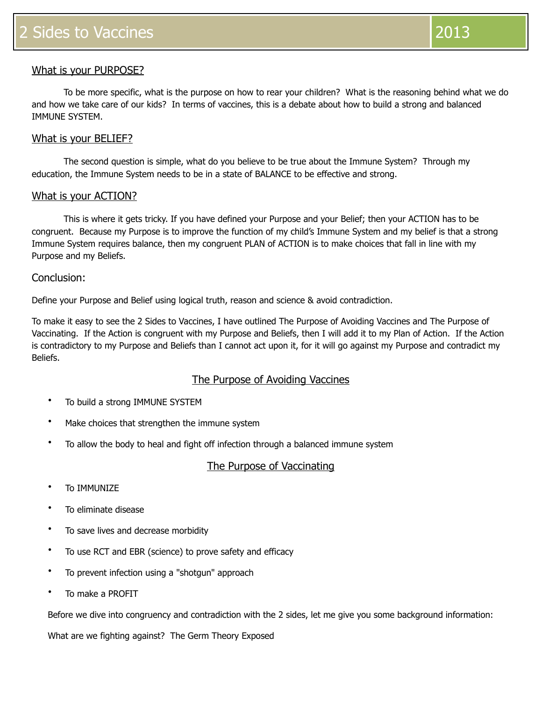## What is your PURPOSE?

 To be more specific, what is the purpose on how to rear your children? What is the reasoning behind what we do and how we take care of our kids? In terms of vaccines, this is a debate about how to build a strong and balanced IMMUNE SYSTEM.

### What is your BELIEF?

The second question is simple, what do you believe to be true about the Immune System? Through my education, the Immune System needs to be in a state of BALANCE to be effective and strong.

### What is your ACTION?

This is where it gets tricky. If you have defined your Purpose and your Belief; then your ACTION has to be congruent. Because my Purpose is to improve the function of my child's Immune System and my belief is that a strong Immune System requires balance, then my congruent PLAN of ACTION is to make choices that fall in line with my Purpose and my Beliefs.

### Conclusion:

Define your Purpose and Belief using logical truth, reason and science & avoid contradiction.

To make it easy to see the 2 Sides to Vaccines, I have outlined The Purpose of Avoiding Vaccines and The Purpose of Vaccinating. If the Action is congruent with my Purpose and Beliefs, then I will add it to my Plan of Action. If the Action is contradictory to my Purpose and Beliefs than I cannot act upon it, for it will go against my Purpose and contradict my Beliefs.

### The Purpose of Avoiding Vaccines

- To build a strong IMMUNE SYSTEM
- Make choices that strengthen the immune system
- To allow the body to heal and fight off infection through a balanced immune system

### The Purpose of Vaccinating

- To IMMUNIZE
- To eliminate disease
- To save lives and decrease morbidity
- To use RCT and EBR (science) to prove safety and efficacy
- To prevent infection using a "shotgun" approach
- To make a PROFIT

Before we dive into congruency and contradiction with the 2 sides, let me give you some background information:

What are we fighting against? The Germ Theory Exposed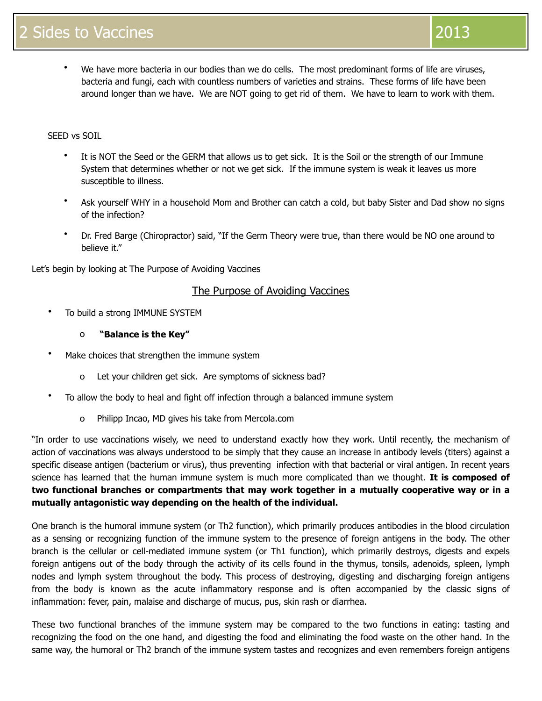We have more bacteria in our bodies than we do cells. The most predominant forms of life are viruses, bacteria and fungi, each with countless numbers of varieties and strains. These forms of life have been around longer than we have. We are NOT going to get rid of them. We have to learn to work with them.

### SEED vs SOIL

- It is NOT the Seed or the GERM that allows us to get sick. It is the Soil or the strength of our Immune System that determines whether or not we get sick. If the immune system is weak it leaves us more susceptible to illness.
- Ask yourself WHY in a household Mom and Brother can catch a cold, but baby Sister and Dad show no signs of the infection?
- Dr. Fred Barge (Chiropractor) said, "If the Germ Theory were true, than there would be NO one around to believe it."

Let's begin by looking at The Purpose of Avoiding Vaccines

## The Purpose of Avoiding Vaccines

- To build a strong IMMUNE SYSTEM
	- o **"Balance is the Key"**
- Make choices that strengthen the immune system
	- o Let your children get sick. Are symptoms of sickness bad?
- To allow the body to heal and fight off infection through a balanced immune system
	- o Philipp Incao, MD gives his take from Mercola.com

"In order to use vaccinations wisely, we need to understand exactly how they work. Until recently, the mechanism of action of vaccinations was always understood to be simply that they cause an increase in antibody levels (titers) against a specific disease antigen (bacterium or virus), thus preventing infection with that bacterial or viral antigen. In recent years science has learned that the human immune system is much more complicated than we thought. **It is composed of two functional branches or compartments that may work together in a mutually cooperative way or in a mutually antagonistic way depending on the health of the individual.**

One branch is the humoral immune system (or Th2 function), which primarily produces antibodies in the blood circulation as a sensing or recognizing function of the immune system to the presence of foreign antigens in the body. The other branch is the cellular or cell-mediated immune system (or Th1 function), which primarily destroys, digests and expels foreign antigens out of the body through the activity of its cells found in the thymus, tonsils, adenoids, spleen, lymph nodes and lymph system throughout the body. This process of destroying, digesting and discharging foreign antigens from the body is known as the acute inflammatory response and is often accompanied by the classic signs of inflammation: fever, pain, malaise and discharge of mucus, pus, skin rash or diarrhea.

These two functional branches of the immune system may be compared to the two functions in eating: tasting and recognizing the food on the one hand, and digesting the food and eliminating the food waste on the other hand. In the same way, the humoral or Th2 branch of the immune system tastes and recognizes and even remembers foreign antigens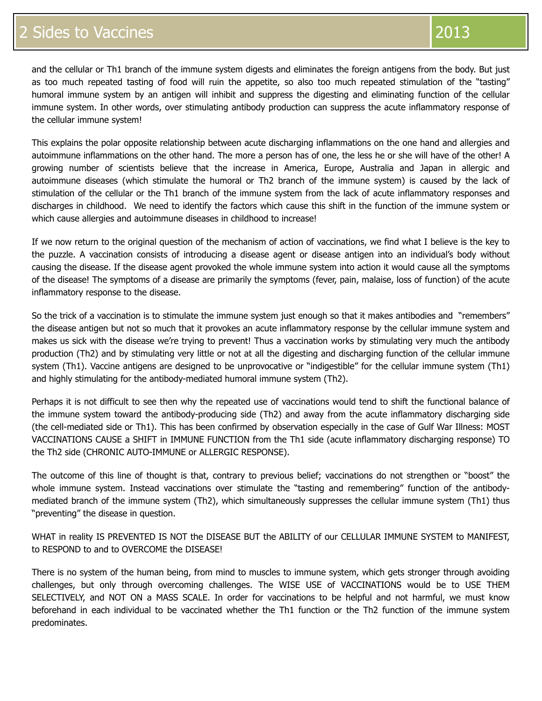and the cellular or Th1 branch of the immune system digests and eliminates the foreign antigens from the body. But just as too much repeated tasting of food will ruin the appetite, so also too much repeated stimulation of the "tasting" humoral immune system by an antigen will inhibit and suppress the digesting and eliminating function of the cellular immune system. In other words, over stimulating antibody production can suppress the acute inflammatory response of the cellular immune system!

This explains the polar opposite relationship between acute discharging inflammations on the one hand and allergies and autoimmune inflammations on the other hand. The more a person has of one, the less he or she will have of the other! A growing number of scientists believe that the increase in America, Europe, Australia and Japan in allergic and autoimmune diseases (which stimulate the humoral or Th2 branch of the immune system) is caused by the lack of stimulation of the cellular or the Th1 branch of the immune system from the lack of acute inflammatory responses and discharges in childhood. We need to identify the factors which cause this shift in the function of the immune system or which cause allergies and autoimmune diseases in childhood to increase!

If we now return to the original question of the mechanism of action of vaccinations, we find what I believe is the key to the puzzle. A vaccination consists of introducing a disease agent or disease antigen into an individual's body without causing the disease. If the disease agent provoked the whole immune system into action it would cause all the symptoms of the disease! The symptoms of a disease are primarily the symptoms (fever, pain, malaise, loss of function) of the acute inflammatory response to the disease.

So the trick of a vaccination is to stimulate the immune system just enough so that it makes antibodies and "remembers" the disease antigen but not so much that it provokes an acute inflammatory response by the cellular immune system and makes us sick with the disease we're trying to prevent! Thus a vaccination works by stimulating very much the antibody production (Th2) and by stimulating very little or not at all the digesting and discharging function of the cellular immune system (Th1). Vaccine antigens are designed to be unprovocative or "indigestible" for the cellular immune system (Th1) and highly stimulating for the antibody-mediated humoral immune system (Th2).

Perhaps it is not difficult to see then why the repeated use of vaccinations would tend to shift the functional balance of the immune system toward the antibody-producing side (Th2) and away from the acute inflammatory discharging side (the cell-mediated side or Th1). This has been confirmed by observation especially in the case of Gulf War Illness: MOST VACCINATIONS CAUSE a SHIFT in IMMUNE FUNCTION from the Th1 side (acute inflammatory discharging response) TO the Th2 side (CHRONIC AUTO-IMMUNE or ALLERGIC RESPONSE).

The outcome of this line of thought is that, contrary to previous belief; vaccinations do not strengthen or "boost" the whole immune system. Instead vaccinations over stimulate the "tasting and remembering" function of the antibodymediated branch of the immune system (Th2), which simultaneously suppresses the cellular immune system (Th1) thus "preventing" the disease in question.

WHAT in reality IS PREVENTED IS NOT the DISEASE BUT the ABILITY of our CELLULAR IMMUNE SYSTEM to MANIFEST, to RESPOND to and to OVERCOME the DISEASE!

There is no system of the human being, from mind to muscles to immune system, which gets stronger through avoiding challenges, but only through overcoming challenges. The WISE USE of VACCINATIONS would be to USE THEM SELECTIVELY, and NOT ON a MASS SCALE. In order for vaccinations to be helpful and not harmful, we must know beforehand in each individual to be vaccinated whether the Th1 function or the Th2 function of the immune system predominates.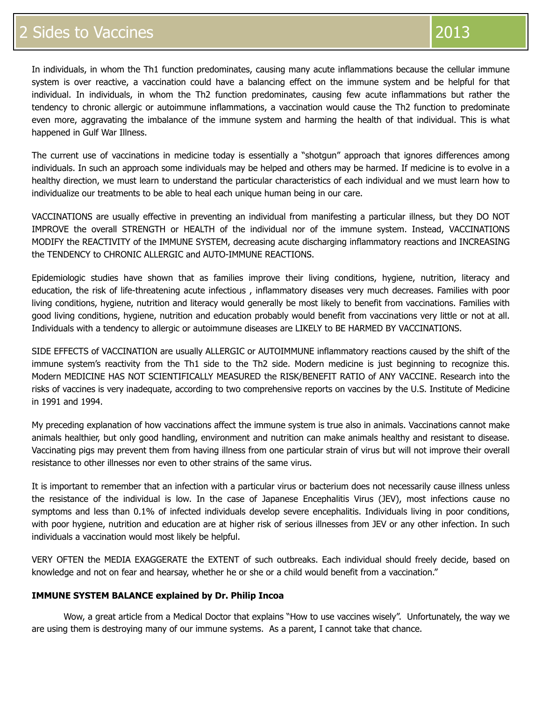In individuals, in whom the Th1 function predominates, causing many acute inflammations because the cellular immune system is over reactive, a vaccination could have a balancing effect on the immune system and be helpful for that individual. In individuals, in whom the Th2 function predominates, causing few acute inflammations but rather the tendency to chronic allergic or autoimmune inflammations, a vaccination would cause the Th2 function to predominate even more, aggravating the imbalance of the immune system and harming the health of that individual. This is what happened in Gulf War Illness.

The current use of vaccinations in medicine today is essentially a "shotgun" approach that ignores differences among individuals. In such an approach some individuals may be helped and others may be harmed. If medicine is to evolve in a healthy direction, we must learn to understand the particular characteristics of each individual and we must learn how to individualize our treatments to be able to heal each unique human being in our care.

VACCINATIONS are usually effective in preventing an individual from manifesting a particular illness, but they DO NOT IMPROVE the overall STRENGTH or HEALTH of the individual nor of the immune system. Instead, VACCINATIONS MODIFY the REACTIVITY of the IMMUNE SYSTEM, decreasing acute discharging inflammatory reactions and INCREASING the TENDENCY to CHRONIC ALLERGIC and AUTO-IMMUNE REACTIONS.

Epidemiologic studies have shown that as families improve their living conditions, hygiene, nutrition, literacy and education, the risk of life-threatening acute infectious , inflammatory diseases very much decreases. Families with poor living conditions, hygiene, nutrition and literacy would generally be most likely to benefit from vaccinations. Families with good living conditions, hygiene, nutrition and education probably would benefit from vaccinations very little or not at all. Individuals with a tendency to allergic or autoimmune diseases are LIKELY to BE HARMED BY VACCINATIONS.

SIDE EFFECTS of VACCINATION are usually ALLERGIC or AUTOIMMUNE inflammatory reactions caused by the shift of the immune system's reactivity from the Th1 side to the Th2 side. Modern medicine is just beginning to recognize this. Modern MEDICINE HAS NOT SCIENTIFICALLY MEASURED the RISK/BENEFIT RATIO of ANY VACCINE. Research into the risks of vaccines is very inadequate, according to two comprehensive reports on vaccines by the U.S. Institute of Medicine in 1991 and 1994.

My preceding explanation of how vaccinations affect the immune system is true also in animals. Vaccinations cannot make animals healthier, but only good handling, environment and nutrition can make animals healthy and resistant to disease. Vaccinating pigs may prevent them from having illness from one particular strain of virus but will not improve their overall resistance to other illnesses nor even to other strains of the same virus.

It is important to remember that an infection with a particular virus or bacterium does not necessarily cause illness unless the resistance of the individual is low. In the case of Japanese Encephalitis Virus (JEV), most infections cause no symptoms and less than 0.1% of infected individuals develop severe encephalitis. Individuals living in poor conditions, with poor hygiene, nutrition and education are at higher risk of serious illnesses from JEV or any other infection. In such individuals a vaccination would most likely be helpful.

VERY OFTEN the MEDIA EXAGGERATE the EXTENT of such outbreaks. Each individual should freely decide, based on knowledge and not on fear and hearsay, whether he or she or a child would benefit from a vaccination."

#### **IMMUNE SYSTEM BALANCE explained by Dr. Philip Incoa**

Wow, a great article from a Medical Doctor that explains "How to use vaccines wisely". Unfortunately, the way we are using them is destroying many of our immune systems. As a parent, I cannot take that chance.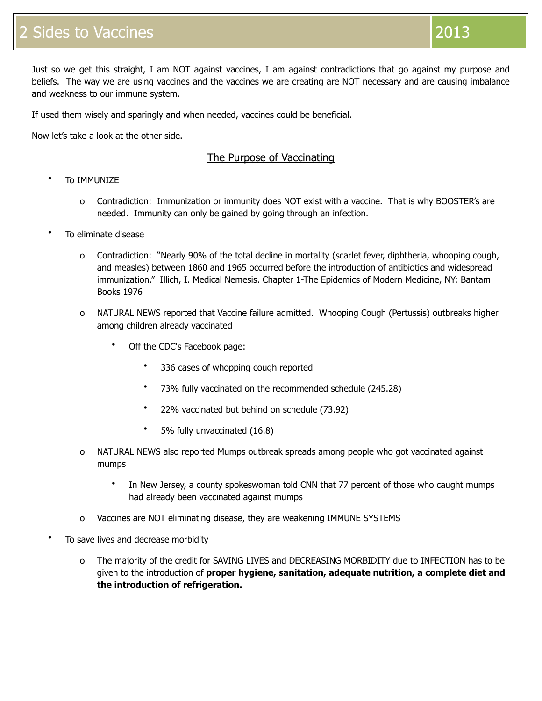Just so we get this straight, I am NOT against vaccines, I am against contradictions that go against my purpose and beliefs. The way we are using vaccines and the vaccines we are creating are NOT necessary and are causing imbalance and weakness to our immune system.

If used them wisely and sparingly and when needed, vaccines could be beneficial.

Now let's take a look at the other side.

# The Purpose of Vaccinating

- **To IMMUNIZE** 
	- o Contradiction: Immunization or immunity does NOT exist with a vaccine. That is why BOOSTER's are needed. Immunity can only be gained by going through an infection.
- To eliminate disease
	- o Contradiction: "Nearly 90% of the total decline in mortality (scarlet fever, diphtheria, whooping cough, and measles) between 1860 and 1965 occurred before the introduction of antibiotics and widespread immunization." Illich, I. Medical Nemesis. Chapter 1-The Epidemics of Modern Medicine, NY: Bantam Books 1976
	- o NATURAL NEWS reported that Vaccine failure admitted. Whooping Cough (Pertussis) outbreaks higher among children already vaccinated
		- Off the CDC's Facebook page:
			- 336 cases of whopping cough reported
			- 73% fully vaccinated on the recommended schedule (245.28)
			- 22% vaccinated but behind on schedule (73.92)
			- 5% fully unvaccinated (16.8)
	- o NATURAL NEWS also reported Mumps outbreak spreads among people who got vaccinated against mumps
		- In New Jersey, a county spokeswoman told CNN that 77 percent of those who caught mumps had already been vaccinated against mumps
	- o Vaccines are NOT eliminating disease, they are weakening IMMUNE SYSTEMS
- To save lives and decrease morbidity
	- o The majority of the credit for SAVING LIVES and DECREASING MORBIDITY due to INFECTION has to be given to the introduction of **proper hygiene, sanitation, adequate nutrition, a complete diet and the introduction of refrigeration.**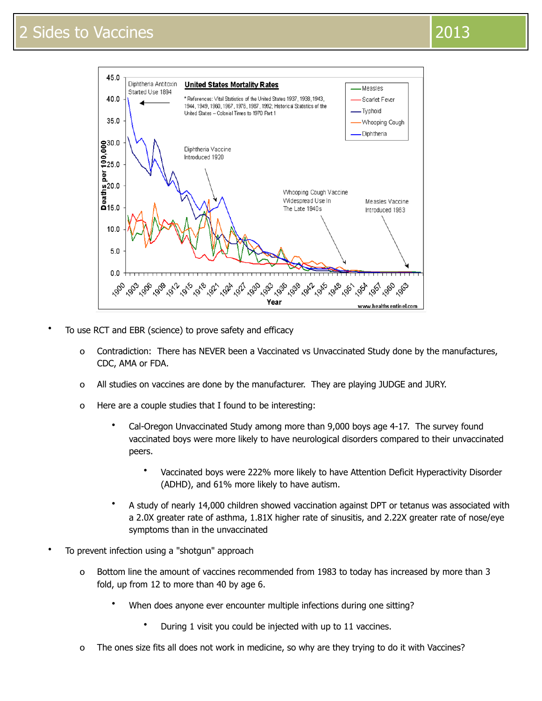

- To use RCT and EBR (science) to prove safety and efficacy
	- o Contradiction: There has NEVER been a Vaccinated vs Unvaccinated Study done by the manufactures, CDC, AMA or FDA.
	- o All studies on vaccines are done by the manufacturer. They are playing JUDGE and JURY.
	- o Here are a couple studies that I found to be interesting:
		- Cal-Oregon Unvaccinated Study among more than 9,000 boys age 4-17. The survey found vaccinated boys were more likely to have neurological disorders compared to their unvaccinated peers.
			- Vaccinated boys were 222% more likely to have Attention Deficit Hyperactivity Disorder (ADHD), and 61% more likely to have autism.
		- A study of nearly 14,000 children showed vaccination against DPT or tetanus was associated with a 2.0X greater rate of asthma, 1.81X higher rate of sinusitis, and 2.22X greater rate of nose/eye symptoms than in the unvaccinated
- To prevent infection using a "shotgun" approach
	- o Bottom line the amount of vaccines recommended from 1983 to today has increased by more than 3 fold, up from 12 to more than 40 by age 6.
		- When does anyone ever encounter multiple infections during one sitting?
			- During 1 visit you could be injected with up to 11 vaccines.
	- o The ones size fits all does not work in medicine, so why are they trying to do it with Vaccines?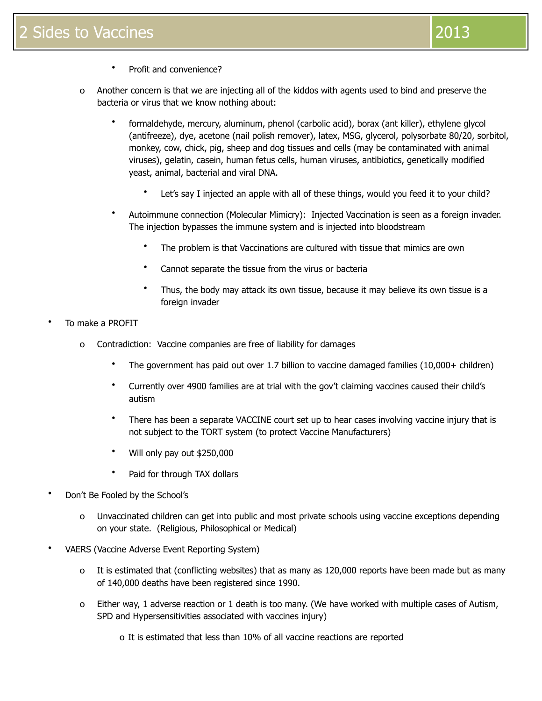- Profit and convenience?
- o Another concern is that we are injecting all of the kiddos with agents used to bind and preserve the bacteria or virus that we know nothing about:
	- formaldehyde, mercury, aluminum, phenol (carbolic acid), borax (ant killer), ethylene glycol (antifreeze), dye, acetone (nail polish remover), latex, MSG, glycerol, polysorbate 80/20, sorbitol, monkey, cow, chick, pig, sheep and dog tissues and cells (may be contaminated with animal viruses), gelatin, casein, human fetus cells, human viruses, antibiotics, genetically modified yeast, animal, bacterial and viral DNA.
		- Let's say I injected an apple with all of these things, would you feed it to your child?
	- Autoimmune connection (Molecular Mimicry): Injected Vaccination is seen as a foreign invader. The injection bypasses the immune system and is injected into bloodstream
		- The problem is that Vaccinations are cultured with tissue that mimics are own
		- Cannot separate the tissue from the virus or bacteria
		- Thus, the body may attack its own tissue, because it may believe its own tissue is a foreign invader
- To make a PROFIT
	- o Contradiction: Vaccine companies are free of liability for damages
		- The government has paid out over 1.7 billion to vaccine damaged families (10,000+ children)
		- Currently over 4900 families are at trial with the gov't claiming vaccines caused their child's autism
		- There has been a separate VACCINE court set up to hear cases involving vaccine injury that is not subject to the TORT system (to protect Vaccine Manufacturers)
		- Will only pay out \$250,000
		- Paid for through TAX dollars
- Don't Be Fooled by the School's
	- o Unvaccinated children can get into public and most private schools using vaccine exceptions depending on your state. (Religious, Philosophical or Medical)
- VAERS (Vaccine Adverse Event Reporting System)
	- o It is estimated that (conflicting websites) that as many as 120,000 reports have been made but as many of 140,000 deaths have been registered since 1990.
	- o Either way, 1 adverse reaction or 1 death is too many. (We have worked with multiple cases of Autism, SPD and Hypersensitivities associated with vaccines injury)
		- o It is estimated that less than 10% of all vaccine reactions are reported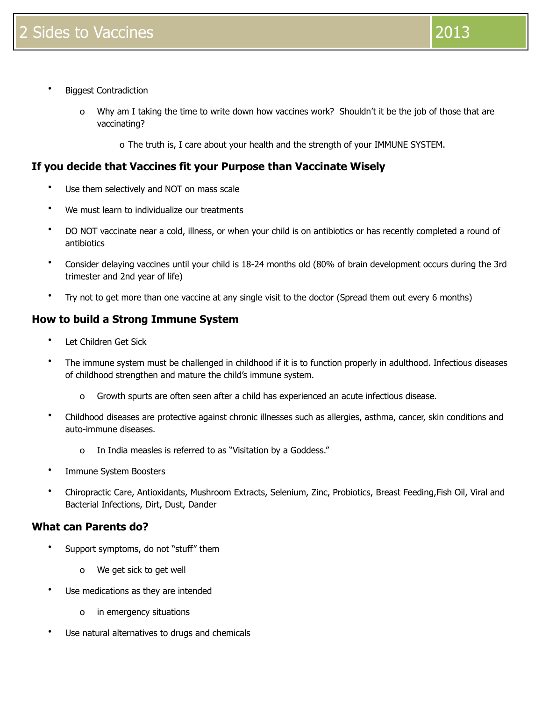- Biggest Contradiction
	- o Why am I taking the time to write down how vaccines work? Shouldn't it be the job of those that are vaccinating?
		- o The truth is, I care about your health and the strength of your IMMUNE SYSTEM.

# **If you decide that Vaccines fit your Purpose than Vaccinate Wisely**

- Use them selectively and NOT on mass scale
- We must learn to individualize our treatments
- DO NOT vaccinate near a cold, illness, or when your child is on antibiotics or has recently completed a round of antibiotics
- Consider delaying vaccines until your child is 18-24 months old (80% of brain development occurs during the 3rd trimester and 2nd year of life)
- Try not to get more than one vaccine at any single visit to the doctor (Spread them out every 6 months)

# **How to build a Strong Immune System**

- Let Children Get Sick
- The immune system must be challenged in childhood if it is to function properly in adulthood. Infectious diseases of childhood strengthen and mature the child's immune system.
	- o Growth spurts are often seen after a child has experienced an acute infectious disease.
- Childhood diseases are protective against chronic illnesses such as allergies, asthma, cancer, skin conditions and auto-immune diseases.
	- o In India measles is referred to as "Visitation by a Goddess."
- Immune System Boosters
- Chiropractic Care, Antioxidants, Mushroom Extracts, Selenium, Zinc, Probiotics, Breast Feeding,Fish Oil, Viral and Bacterial Infections, Dirt, Dust, Dander

## **What can Parents do?**

- Support symptoms, do not "stuff" them
	- o We get sick to get well
- Use medications as they are intended
	- o in emergency situations
- Use natural alternatives to drugs and chemicals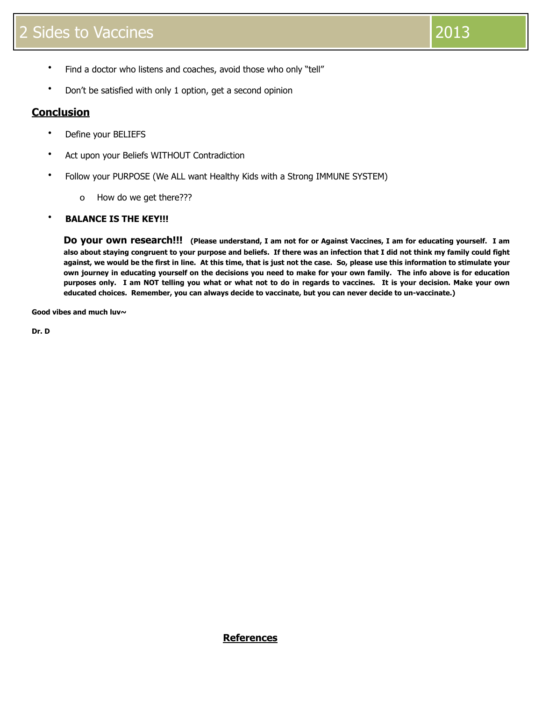- Find a doctor who listens and coaches, avoid those who only "tell"
- Don't be satisfied with only 1 option, get a second opinion

# **Conclusion**

- Define your BELIEFS
- Act upon your Beliefs WITHOUT Contradiction
- Follow your PURPOSE (We ALL want Healthy Kids with a Strong IMMUNE SYSTEM)
	- o How do we get there???

#### • **BALANCE IS THE KEY!!!**

**Do your own research!!! (Please understand, I am not for or Against Vaccines, I am for educating yourself. I am also about staying congruent to your purpose and beliefs. If there was an infection that I did not think my family could fight against, we would be the first in line. At this time, that is just not the case. So, please use this information to stimulate your own journey in educating yourself on the decisions you need to make for your own family. The info above is for education purposes only. I am NOT telling you what or what not to do in regards to vaccines. It is your decision. Make your own educated choices. Remember, you can always decide to vaccinate, but you can never decide to un-vaccinate.)**

**Good vibes and much luv~**

**Dr. D**

**References**